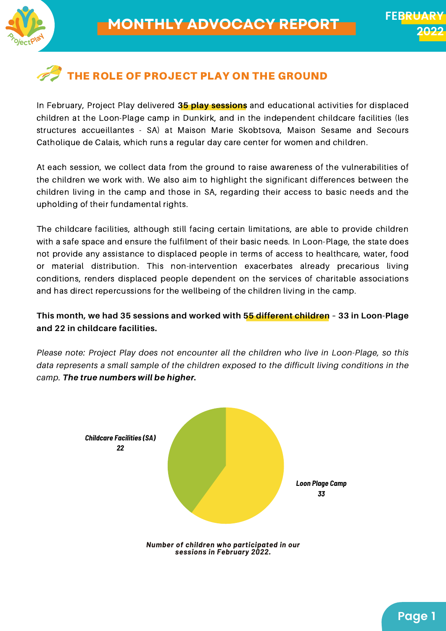

# THE ROLE OF PROJECT PLAY ON THE GROUND

In February, Project Play delivered **35 play sessions** and educational activities for displaced children at the Loon-Plage camp in Dunkirk, and in the independent childcare facilities (les structures accueillantes - SA) at Maison Marie Skobtsova, Maison Sesame and Secours Catholique de Calais, which runs a regular day care center for women and children.

At each session, we collect data from the ground to raise awareness of the vulnerabilities of the children we work with. We also aim to highlight the significant differences between the children living in the camp and those in SA, regarding their access to basic needs and the upholding of their fundamental rights.

The childcare facilities, although still facing certain limitations, are able to provide children with a safe space and ensure the fulfilment of their basic needs. In Loon-Plage, the state does not provide any assistance to displaced people in terms of access to healthcare, water, food or material distribution. This non-intervention exacerbates already precarious living conditions, renders displaced people dependent on the services of charitable associations and has direct repercussions for the wellbeing of the children living in the camp.

**This month, we had 35 sessions and worked with 55 different children – 33 in Loon-Plage and 22 in childcare facilities.**

*Please note: Project Play does not encounter all the children who live in Loon-Plage, so this data represents a small sample of the children exposed to the difficult living conditions in the camp.* The true numbers will be higher.

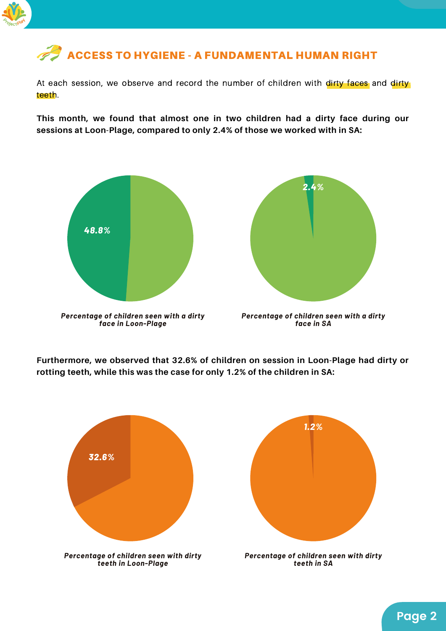

# **ACCESS TO HYGIENE - A FUNDAMENTAL HUMAN RIGHT**

At each session, we observe and record the number of children with dirty faces and dirty teeth.

**This month, we found that almost one in two children had a dirty face during our sessions at Loon-Plage, compared to only 2.4% of those we worked with in SA:**





*Percentage of children seen with a dirty face in SA*

**Furthermore, we observed that 32.6% of children on session in Loon-Plage had dirty or rotting teeth, while this was the case for only 1.2% of the children in SA:**



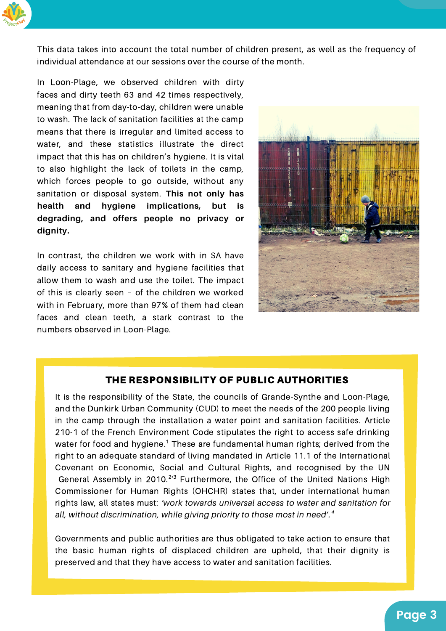

This data takes into account the total number of children present, as well as the frequency of individual attendance at our sessions over the course of the month.

In Loon-Plage, we observed children with dirty faces and dirty teeth 63 and 42 times respectively, meaning that from day-to-day, children were unable to wash. The lack of sanitation facilities at the camp means that there is irregular and limited access to water, and these statistics illustrate the direct impact that this has on children's hygiene. It is vital to also highlight the lack of toilets in the camp, which forces people to go outside, without any sanitation or disposal system. **This not only has health and hygiene implications, but is degrading, and offers people no privacy or dignity.**

In contrast, the children we work with in SA have daily access to sanitary and hygiene facilities that allow them to wash and use the toilet. The impact of this is clearly seen – of the children we worked with in February, more than 97% of them had clean faces and clean teeth, a stark contrast to the numbers observed in Loon-Plage.



#### THE RESPONSIBILITY OF PUBLIC AUTHORITIES

It is the responsibility of the State, the councils of Grande-Synthe and Loon-Plage, and the Dunkirk Urban Community (CUD) to meet the needs of the 200 people living in the camp through the installation a water point and sanitation facilities. Article 210-1 of the French Environment Code stipulates the right to access safe drinking water for food and hygiene.<sup>1</sup> These are fundamental human rights; derived from the right to an adequate standard of living mandated in Article 11.1 of the International Covenant on Economic, Social and Cultural Rights, and recognised by the UN General Assembly in 2010.<sup>213</sup> Furthermore, the Office of the United Nations High Commissioner for Human Rights (OHCHR) states that, under international human rights law, all states must: *'work towards universal access to water and sanitation for all, without discrimination, while giving priority to those most in need'.⁴*

Governments and public authorities are thus obligated to take action to ensure that the basic human rights of displaced children are upheld, that their dignity is preserved and that they have access to water and sanitation facilities.